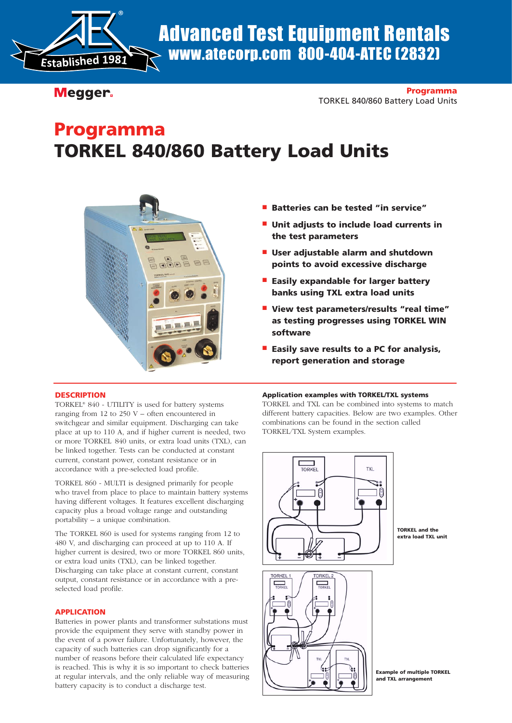

# www.atecorp.com 800-404-ATEC (2832)

Megger.

**Programma** TORKEL 840/860 Battery Load Units

## **Programma TORKEL 840/860 Battery Load Units**



- **Batteries can be tested "in service"**
- Unit adjusts to include load currents in **the test parameters**
- **User adjustable alarm and shutdown points to avoid excessive discharge**
- **Easily expandable for larger battery banks using TXL extra load units**
- **View test parameters/results "real time" as testing progresses using TORKEL WIN software**
- **Easily save results to a PC for analysis, report generation and storage**

#### **DESCRIPTION**

TORKEL® 840 - UTILITY is used for battery systems ranging from 12 to 250 V – often encountered in switchgear and similar equipment. Discharging can take place at up to 110 A, and if higher current is needed, two or more TORKEL 840 units, or extra load units (TXL), can be linked together. Tests can be conducted at constant current, constant power, constant resistance or in accordance with a pre-selected load profile.

TORKEL 860 - MULTI is designed primarily for people who travel from place to place to maintain battery systems having different voltages. It features excellent discharging capacity plus a broad voltage range and outstanding portability – a unique combination.

The TORKEL 860 is used for systems ranging from 12 to 480 V, and discharging can proceed at up to 110 A. If higher current is desired, two or more TORKEL 860 units, or extra load units (TXL), can be linked together. Discharging can take place at constant current, constant output, constant resistance or in accordance with a preselected load profile.

#### **APPLICATION**

Batteries in power plants and transformer substations must provide the equipment they serve with standby power in the event of a power failure. Unfortunately, however, the capacity of such batteries can drop significantly for a number of reasons before their calculated life expectancy is reached. This is why it is so important to check batteries at regular intervals, and the only reliable way of measuring battery capacity is to conduct a discharge test.

#### **Application examples with TORKEL/TXL systems**

TORKEL and TXL can be combined into systems to match different battery capacities. Below are two examples. Other combinations can be found in the section called TORKEL/TXL System examples.



**TORKEL and the extra load TXL unit**

**Example of multiple TORKEL**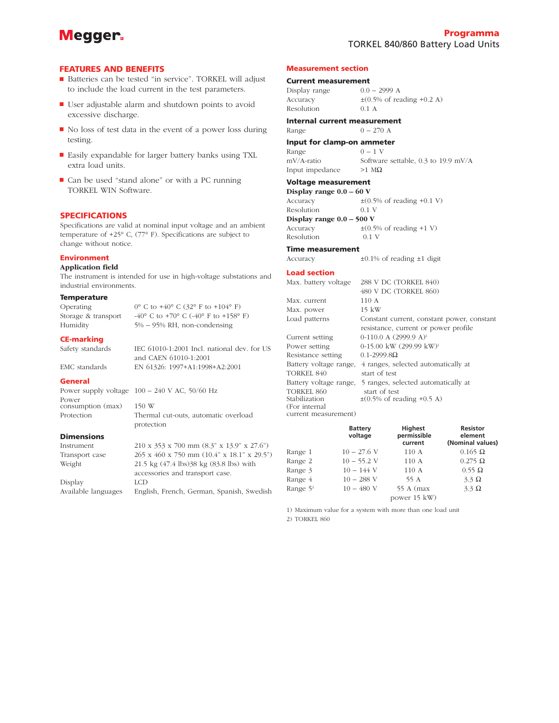## Megger.

#### **FEATURES AND BENEFITS**

- Batteries can be tested "in service". TORKEL will adjust to include the load current in the test parameters.
- User adjustable alarm and shutdown points to avoid excessive discharge.
- No loss of test data in the event of a power loss during testing.
- Easily expandable for larger battery banks using TXL extra load units.
- Can be used "stand alone" or with a PC running TORKEL WIN Software.

#### **SPECIFICATIONS**

Specifications are valid at nominal input voltage and an ambient temperature of +25° C, (77° F). Specifications are subject to change without notice.

#### **Environment**

#### **Application field**

The instrument is intended for use in high-voltage substations and industrial environments.

and CAEN 61010-1:2001

protection

#### **Temperature**

Operating  $0^{\circ}$  C to  $+40^{\circ}$  C (32° F to  $+104^{\circ}$  F) Storage & transport  $-40^{\circ}$  C to  $+70^{\circ}$  C  $(-40^{\circ}$  F to  $+158^{\circ}$  F) Humidity 5% – 95% RH, non-condensing

#### **CE-marking**

Safety standards IEC 61010-1:2001 Incl. national dev. for US

EMC standards EN 61326: 1997+A1:1998+A2:2001

#### **General**

Power supply voltage 100 – 240 V AC, 50/60 Hz Power consumption (max) 150 W Protection Thermal cut-outs, automatic overload

#### **Dimensions**

Instrument 210 x 353 x 700 mm (8.3" x 13.9" x 27.6")

Transport case 265 x 460 x 750 mm (10.4" x 18.1" x 29.5") Weight 21.5 kg (47.4 lbs)38 kg (83.8 lbs) with accessories and transport case. Display LCD Available languages English, French, German, Spanish, Swedish

#### **Measurement section**

**Current measurement**<br>Display range  $0.0 - 2999$  A Display range Accuracy  $\pm (0.5\% \text{ of reading } +0.2 \text{ A})$ Resolution 0.1 A

**Internal current measurement** Range  $0 - 270$  A

**Input for clamp-on ammeter**

| input for clamp-on ammeter |                                     |
|----------------------------|-------------------------------------|
| Range                      | $0 - 1$ V                           |
| mV/A-ratio                 | Software settable, 0.3 to 19.9 mV/A |
| Input impedance            | $>1$ MQ.                            |

#### **Voltage measurement**

**Display range 0.0 – 60 V** Accuracy  $\pm (0.5\% \text{ of reading } +0.1 \text{ V})$ Resolution 0.1 V **Display range 0.0 – 500 V** Accuracy  $\pm (0.5\% \text{ of reading } +1 \text{ V})$ 

Resolution 0.1 V **Time measurement**

### Accuracy ±0.1% of reading ±1 digit

#### **Load section**

| Max. battery voltage   | 288 V DC (TORKEL 840)                      |
|------------------------|--------------------------------------------|
|                        | 480 V DC (TORKEL 860)                      |
| Max. current           | 110A                                       |
| Max. power             | 15 kW                                      |
| Load patterns          | Constant current, constant power, constant |
|                        | resistance, current or power profile       |
| Current setting        | $0-110.0$ A $(2999.9$ A) <sup>1</sup>      |
| Power setting          | 0-15.00 kW (299.99 kW) <sup>1</sup>        |
| Resistance setting     | $0.1 - 2999.8 \Omega$                      |
| Battery voltage range, | 4 ranges, selected automatically at        |
| TORKEL 840             | start of test                              |
| Battery voltage range, | 5 ranges, selected automatically at        |
| <b>TORKEL 860</b>      | start of test                              |
| Stabilization          | $\pm$ (0.5% of reading +0.5 A)             |
| (For internal          |                                            |
| current measurement)   |                                            |

|             | <b>Battery</b><br>voltage | <b>Highest</b><br>permissible<br>current | <b>Resistor</b><br>element<br>(Nominal values) |
|-------------|---------------------------|------------------------------------------|------------------------------------------------|
| Range 1     | $10 - 27.6$ V             | 110A                                     | $0.165 \Omega$                                 |
| Range 2     | $10 - 55.2$ V             | 110A                                     | $0.275 \Omega$                                 |
| Range 3     | $10 - 144$ V              | 110A                                     | $0.55 \Omega$                                  |
| Range 4     | $10 - 288$ V              | 55 A                                     | $3.3 \Omega$                                   |
| Range $5^2$ | $10 - 480$ V              | 55 A (max)                               | $3.3 \Omega$                                   |
|             |                           | power 15 kW)                             |                                                |

1) Maximum value for a system with more than one load unit 2) TORKEL 860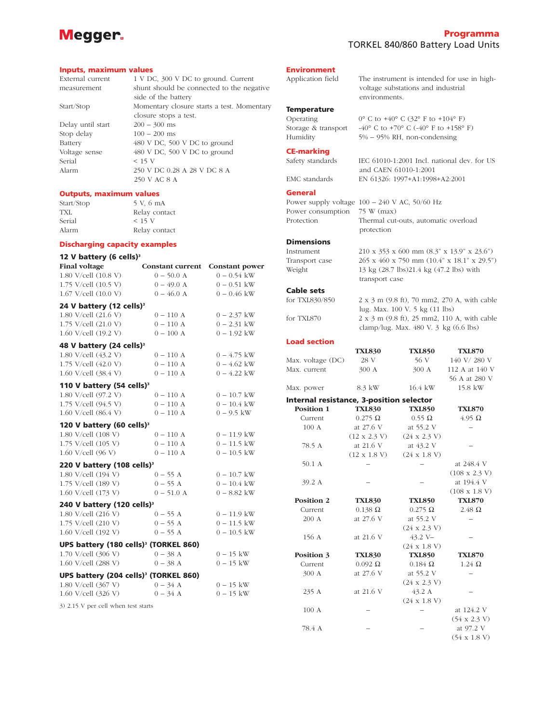## Megger.

#### **Programma** TORKEL 840/860 Battery Load Units

voltage substations and industrial

environments.

#### **Inputs, maximum values**

External current 1 V DC, 300 V DC to ground. Current measurement shunt should be connected to the negative side of the battery Start/Stop Momentary closure starts a test. Momentary closure stops a test. Delay until start 200 – 300 ms Stop delay  $100 - 200$  ms Battery 480 V DC, 500 V DC to ground Voltage sense 480 V DC, 500 V DC to ground Serial < 15 V Alarm 250 V DC 0.28 A 28 V DC 8 A 250 V AC 8 A

#### **Outputs, maximum values**

Start/Stop 5 V, 6 mA TXL Relay contact Serial < 15 V Alarm Relay contact

#### **Discharging capacity examples**

| 12 V battery (6 cells) $3$                        |                         |                       |
|---------------------------------------------------|-------------------------|-----------------------|
| <b>Final voltage</b>                              | <b>Constant current</b> | <b>Constant power</b> |
| 1.80 V/cell (10.8 V)                              | $0 - 50.0 A$            | $0 - 0.54$ kW         |
| 1.75 V/cell (10.5 V)                              | $0 - 49.0$ A            | $0 - 0.51$ kW         |
| 1.67 V/cell (10.0 V)                              | $0 - 46.0$ A            | $0 - 0.46$ kW         |
| 24 V battery (12 cells) <sup>3</sup>              |                         |                       |
| 1.80 V/cell (21.6 V)                              | $0 - 110$ A             | $0 - 2.37$ kW         |
| 1.75 V/cell (21.0 V)                              | $0-110\ \mathrm{A}$     | $0 - 2.31$ kW         |
| 1.60 V/cell (19.2 V)                              | $0 - 100$ A             | $0 - 1.92$ kW         |
| 48 V battery (24 cells) <sup>3</sup>              |                         |                       |
| 1.80 V/cell (43.2 V)                              | $0 - 110$ A             | $0 - 4.75$ kW         |
| 1.75 V/cell (42.0 V)                              | $0 - 110 A$             | $0 - 4.62$ kW         |
| 1.60 V/cell (38.4 V)                              | $0-110\ \mathrm{A}$     | $0 - 4.22$ kW         |
| 110 V battery (54 cells) <sup>3</sup>             |                         |                       |
| 1.80 V/cell (97.2 V)                              | $0 - 110$ A             | $0 - 10.7$ kW         |
| 1.75 V/cell (94.5 V)                              | $0 - 110$ A             | $0 - 10.4$ kW         |
| 1.60 V/cell (86.4 V)                              | $0 - 110$ A             | $0 - 9.5$ kW          |
| 120 V battery (60 cells) <sup>3</sup>             |                         |                       |
| 1.80 V/cell (108 V)                               | $0-110$ $\hbox{\AA}$    | $0 - 11.9$ kW         |
| 1.75 V/cell (105 V)                               | $0 - 110$ A             | $0 - 11.5$ kW         |
| 1.60 V/cell (96 V)                                | $0 - 110$ A             | $0 - 10.5$ kW         |
| 220 V battery (108 cells) <sup>3</sup>            |                         |                       |
| 1.80 V/cell (194 V)                               | $0 - 55$ A              | $0 - 10.7$ kW         |
| 1.75 V/cell (189 V)                               | $0 - 55$ A              | $0 - 10.4$ kW         |
| 1.60 V/cell (173 V)                               | $0 - 51.0 A$            | $0 - 8.82$ kW         |
| 240 V battery (120 cells) <sup>3</sup>            |                         |                       |
| 1.80 V/cell (216 V)                               | $0 - 55$ A              | $0 - 11.9$ kW         |
| 1.75 V/cell (210 V)                               | $0 - 55$ A              | $0 - 11.5$ kW         |
| 1.60 V/cell (192 V)                               | $0 - 55$ A              | $0 - 10.5$ kW         |
| UPS battery (180 cells) <sup>3</sup> (TORKEL 860) |                         |                       |
| 1.70 V/cell (306 V)                               | $0 - 38$ A              | $0 - 15$ kW           |
| 1.60 V/cell (288 V)                               | $0 - 38$ A              | $0 - 15$ kW           |
| UPS battery (204 cells) <sup>3</sup> (TORKEL 860) |                         |                       |
| 1.80 V/cell (367 V)                               | $0 - 34$ A              | $0 - 15$ kW           |
| 1.60 V/cell (326 V)                               | $0 - 34$ A              | $0 - 15$ kW           |
| 3) 2.15 V per cell when test starts               |                         |                       |

#### **Environment**

Application field The instrument is intended for use in high-

**Temperature** Operating  $0^{\circ}$  C to  $+40^{\circ}$  C (32° F to  $+104^{\circ}$  F) Storage & transport  $-40^{\circ}$  C to  $+70^{\circ}$  C  $(-40^{\circ}$  F to  $+158^{\circ}$  F) Humidity 5% – 95% RH, non-condensing

#### **CE-marking**

Safety standards IEC 61010-1:2001 Incl. national dev. for US

EMC standards EN 61326: 1997+A1:1998+A2:2001

#### **General**

Power consumption 75 W (max)

Power supply voltage 100 – 240 V AC, 50/60 Hz Protection Thermal cut-outs, automatic overload protection

and CAEN 61010-1:2001

#### **Dimensions**

Instrument 210 x 353 x 600 mm (8.3" x 13.9" x 23.6") Transport case 265 x 460 x 750 mm (10.4" x 18.1" x 29.5") Weight 13 kg (28.7 lbs)21.4 kg (47.2 lbs) with

## **Cable sets**

 $2 \times 3$  m (9.8 ft), 70 mm2, 270 A, with cable lug. Max. 100 V. 5 kg (11 lbs) for TXL870 2 x 3 m (9.8 ft), 25 mm2, 110 A, with cable clamp/lug. Max. 480 V. 3 kg (6.6 lbs)

#### **Load section**

|                   | <b>TXL830</b>   | <b>TXL850</b>   | <b>TXL870</b>  |
|-------------------|-----------------|-----------------|----------------|
| Max. voltage (DC) | 28 V            | 56V             | 140 V/280 V    |
| Max. current      | $300 \text{ A}$ | $300 \text{ A}$ | 112 A at 140 V |
|                   |                 |                 | 56 A at 280 V  |
| Max. power        | 8.3 kW          | 16.4 kW         | 15.8 kW        |

transport case

#### **Internal resistance, 3-position selector**

| Position 1        | <b>TXL830</b>       | <b>TXL850</b>       | <b>TXL870</b>        |
|-------------------|---------------------|---------------------|----------------------|
| Current           | $0.275 \Omega$      | $0.55 \Omega$       | $4.95 \Omega$        |
| 100A              | at 27.6 V           | at 55.2 V           |                      |
|                   | $(12 \times 2.3 V)$ | $(24 \times 2.3 V)$ |                      |
| 78.5 A            | at 21.6 V           | at 43.2 V           |                      |
|                   | $(12 \times 1.8 V)$ | $(24 \times 1.8 V)$ |                      |
| 50.1 A            |                     |                     | at 248.4 V           |
|                   |                     |                     | $(108 \times 2.3 V)$ |
| 39.2 A            |                     |                     | at 194.4 V           |
|                   |                     |                     | $(108 \times 1.8 V)$ |
| <b>Position 2</b> | <b>TXL830</b>       | <b>TXL850</b>       | <b>TXL870</b>        |
| Current           | $0.138 \Omega$      | $0.275 \Omega$      | $2.48\Omega$         |
| 200 A             | at 27.6 V           | at 55.2 V           |                      |
|                   |                     | $(24 \times 2.3 V)$ |                      |
| 156 A             | at 21.6 V           | $43.2 V -$          |                      |
|                   |                     | $(24 \times 1.8 V)$ |                      |
| Position 3        | <b>TXL830</b>       | <b>TXL850</b>       | <b>TXL870</b>        |
| Current           | $0.092 \Omega$      | $0.184 \Omega$      | $1.24 \Omega$        |
| 300 A             | at 27.6 V           | at 55.2 V           |                      |
|                   |                     | $(24 \times 2.3 V)$ |                      |
| 235 A             | at 21.6 V           | 43.2 A              |                      |
|                   |                     | $(24 \times 1.8 V)$ |                      |
| 100A              |                     |                     | at 124.2 V           |
|                   |                     |                     | $(54 \times 2.3 V)$  |
| 78.4 A            |                     |                     | at 97.2 V            |
|                   |                     |                     | $(54 \times 1.8 V)$  |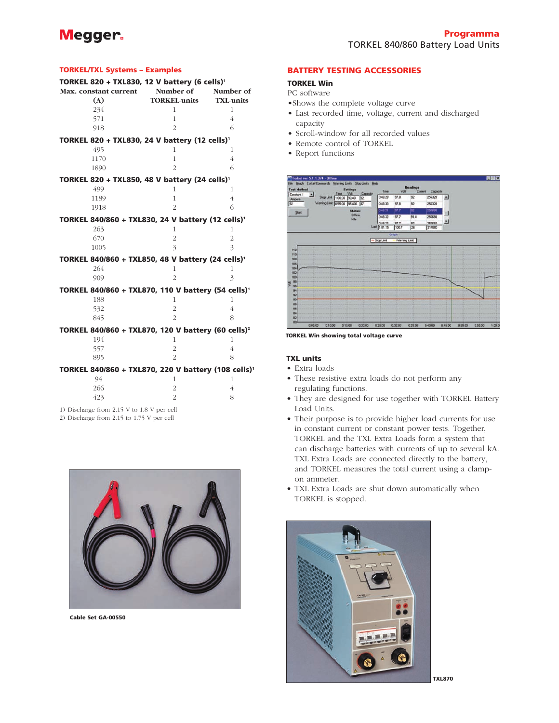## **Megger**

#### **TORKEL/TXL Systems – Examples**

| TORKEL 820 + TXL830, 12 V battery (6 cells) <sup>1</sup>        |                     |                  |
|-----------------------------------------------------------------|---------------------|------------------|
| Max. constant current                                           | Number of           | Number of        |
| (A)                                                             | <b>TORKEL-units</b> | <b>TXL-units</b> |
| 234                                                             | 1                   | 1                |
| 571                                                             | 1                   | $\overline{4}$   |
| 918                                                             | $\overline{2}$      | 6                |
| TORKEL 820 + TXL830, 24 V battery (12 cells) <sup>1</sup>       |                     |                  |
| 495                                                             | 1                   | 1                |
| 1170                                                            | $\mathbf{1}$        | $\overline{4}$   |
| 1890                                                            | $\overline{2}$      | 6                |
| TORKEL 820 + TXL850, 48 V battery (24 cells) <sup>1</sup>       |                     |                  |
| 499                                                             | 1                   | 1                |
| 1189                                                            | $\overline{1}$      | 4                |
| 1918                                                            | $\overline{2}$      | 6                |
| TORKEL 840/860 + TXL830, 24 V battery (12 cells) <sup>1</sup>   |                     |                  |
| 263                                                             | 1                   | $\mathbf{1}$     |
| 670                                                             | $\overline{2}$      | $\overline{2}$   |
| 1005                                                            | 3                   | $\overline{3}$   |
| TORKEL 840/860 + TXL850, 48 V battery (24 cells) <sup>1</sup>   |                     |                  |
| 264                                                             | $\overline{1}$      | $\mathbf{1}$     |
| 909                                                             | $\overline{2}$      | 3                |
| TORKEL 840/860 + TXL870, 110 V battery (54 cells) <sup>1</sup>  |                     |                  |
| 188                                                             | 1                   | 1                |
| 532                                                             | $\overline{2}$      | $\overline{4}$   |
| 845                                                             | $\overline{2}$      | 8                |
| TORKEL 840/860 + TXL870, 120 V battery (60 cells) <sup>2</sup>  |                     |                  |
| 194                                                             | 1                   | 1                |
| 557                                                             | $\overline{2}$      | 4                |
| 895                                                             | $\overline{2}$      | 8                |
| TORKEL 840/860 + TXL870, 220 V battery (108 cells) <sup>1</sup> |                     |                  |
| 94                                                              | 1                   | 1                |
| 266                                                             | $\overline{2}$      | $\overline{4}$   |
| 423                                                             | $\overline{2}$      | 8                |
| 1) Discharge from 2.15 V to 1.8 V per cell                      |                     |                  |

2) Discharge from 2.15 to 1.75 V per cell



**Cable Set GA-00550**

#### **BATTERY TESTING ACCESSORIES**

#### **TORKEL Win**

PC software

- •Shows the complete voltage curve
- Last recorded time, voltage, current and discharged capacity
- Scroll-window for all recorded values
- Remote control of TORKEL
- Report functions



**TORKEL Win showing total voltage curve**

#### **TXL units**

- Extra loads
- These resistive extra loads do not perform any regulating functions.
- They are designed for use together with TORKEL Battery Load Units.
- Their purpose is to provide higher load currents for use in constant current or constant power tests. Together, TORKEL and the TXL Extra Loads form a system that can discharge batteries with currents of up to several kA. TXL Extra Loads are connected directly to the battery, and TORKEL measures the total current using a clampon ammeter.
- TXL Extra Loads are shut down automatically when TORKEL is stopped.



**TXL870**